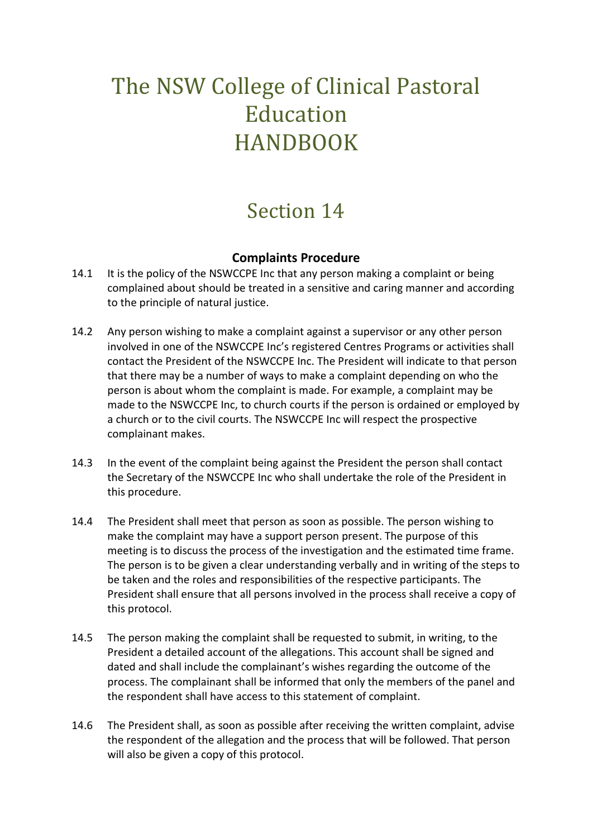## The NSW College of Clinical Pastoral **Education** HANDBOOK

## Section 14

## **Complaints Procedure**

- 14.1 It is the policy of the NSWCCPE Inc that any person making a complaint or being complained about should be treated in a sensitive and caring manner and according to the principle of natural justice.
- 14.2 Any person wishing to make a complaint against a supervisor or any other person involved in one of the NSWCCPE Inc's registered Centres Programs or activities shall contact the President of the NSWCCPE Inc. The President will indicate to that person that there may be a number of ways to make a complaint depending on who the person is about whom the complaint is made. For example, a complaint may be made to the NSWCCPE Inc, to church courts if the person is ordained or employed by a church or to the civil courts. The NSWCCPE Inc will respect the prospective complainant makes.
- 14.3 In the event of the complaint being against the President the person shall contact the Secretary of the NSWCCPE Inc who shall undertake the role of the President in this procedure.
- 14.4 The President shall meet that person as soon as possible. The person wishing to make the complaint may have a support person present. The purpose of this meeting is to discuss the process of the investigation and the estimated time frame. The person is to be given a clear understanding verbally and in writing of the steps to be taken and the roles and responsibilities of the respective participants. The President shall ensure that all persons involved in the process shall receive a copy of this protocol.
- 14.5 The person making the complaint shall be requested to submit, in writing, to the President a detailed account of the allegations. This account shall be signed and dated and shall include the complainant's wishes regarding the outcome of the process. The complainant shall be informed that only the members of the panel and the respondent shall have access to this statement of complaint.
- 14.6 The President shall, as soon as possible after receiving the written complaint, advise the respondent of the allegation and the process that will be followed. That person will also be given a copy of this protocol.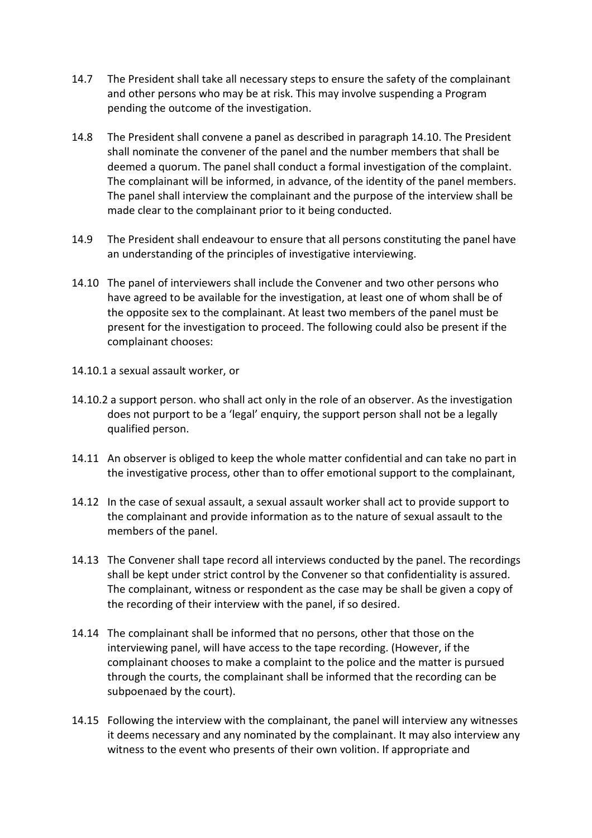- 14.7 The President shall take all necessary steps to ensure the safety of the complainant and other persons who may be at risk. This may involve suspending a Program pending the outcome of the investigation.
- 14.8 The President shall convene a panel as described in paragraph 14.10. The President shall nominate the convener of the panel and the number members that shall be deemed a quorum. The panel shall conduct a formal investigation of the complaint. The complainant will be informed, in advance, of the identity of the panel members. The panel shall interview the complainant and the purpose of the interview shall be made clear to the complainant prior to it being conducted.
- 14.9 The President shall endeavour to ensure that all persons constituting the panel have an understanding of the principles of investigative interviewing.
- 14.10 The panel of interviewers shall include the Convener and two other persons who have agreed to be available for the investigation, at least one of whom shall be of the opposite sex to the complainant. At least two members of the panel must be present for the investigation to proceed. The following could also be present if the complainant chooses:
- 14.10.1 a sexual assault worker, or
- 14.10.2 a support person. who shall act only in the role of an observer. As the investigation does not purport to be a 'legal' enquiry, the support person shall not be a legally qualified person.
- 14.11 An observer is obliged to keep the whole matter confidential and can take no part in the investigative process, other than to offer emotional support to the complainant,
- 14.12 In the case of sexual assault, a sexual assault worker shall act to provide support to the complainant and provide information as to the nature of sexual assault to the members of the panel.
- 14.13 The Convener shall tape record all interviews conducted by the panel. The recordings shall be kept under strict control by the Convener so that confidentiality is assured. The complainant, witness or respondent as the case may be shall be given a copy of the recording of their interview with the panel, if so desired.
- 14.14 The complainant shall be informed that no persons, other that those on the interviewing panel, will have access to the tape recording. (However, if the complainant chooses to make a complaint to the police and the matter is pursued through the courts, the complainant shall be informed that the recording can be subpoenaed by the court).
- 14.15 Following the interview with the complainant, the panel will interview any witnesses it deems necessary and any nominated by the complainant. It may also interview any witness to the event who presents of their own volition. If appropriate and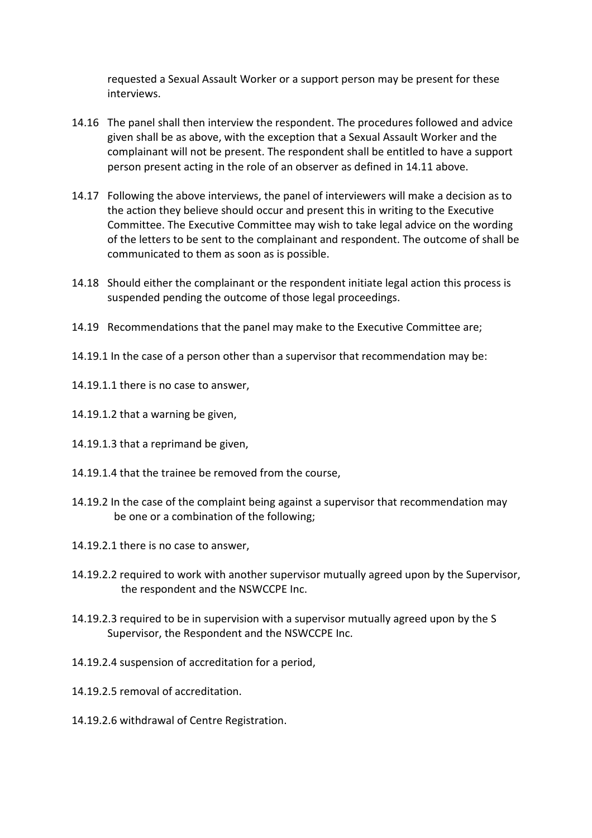requested a Sexual Assault Worker or a support person may be present for these interviews.

- 14.16 The panel shall then interview the respondent. The procedures followed and advice given shall be as above, with the exception that a Sexual Assault Worker and the complainant will not be present. The respondent shall be entitled to have a support person present acting in the role of an observer as defined in 14.11 above.
- 14.17 Following the above interviews, the panel of interviewers will make a decision as to the action they believe should occur and present this in writing to the Executive Committee. The Executive Committee may wish to take legal advice on the wording of the letters to be sent to the complainant and respondent. The outcome of shall be communicated to them as soon as is possible.
- 14.18 Should either the complainant or the respondent initiate legal action this process is suspended pending the outcome of those legal proceedings.
- 14.19 Recommendations that the panel may make to the Executive Committee are;
- 14.19.1 In the case of a person other than a supervisor that recommendation may be:
- 14.19.1.1 there is no case to answer,
- 14.19.1.2 that a warning be given,
- 14.19.1.3 that a reprimand be given,
- 14.19.1.4 that the trainee be removed from the course,
- 14.19.2 In the case of the complaint being against a supervisor that recommendation may be one or a combination of the following;
- 14.19.2.1 there is no case to answer,
- 14.19.2.2 required to work with another supervisor mutually agreed upon by the Supervisor, the respondent and the NSWCCPE Inc.
- 14.19.2.3 required to be in supervision with a supervisor mutually agreed upon by the S Supervisor, the Respondent and the NSWCCPE Inc.
- 14.19.2.4 suspension of accreditation for a period,
- 14.19.2.5 removal of accreditation.
- 14.19.2.6 withdrawal of Centre Registration.